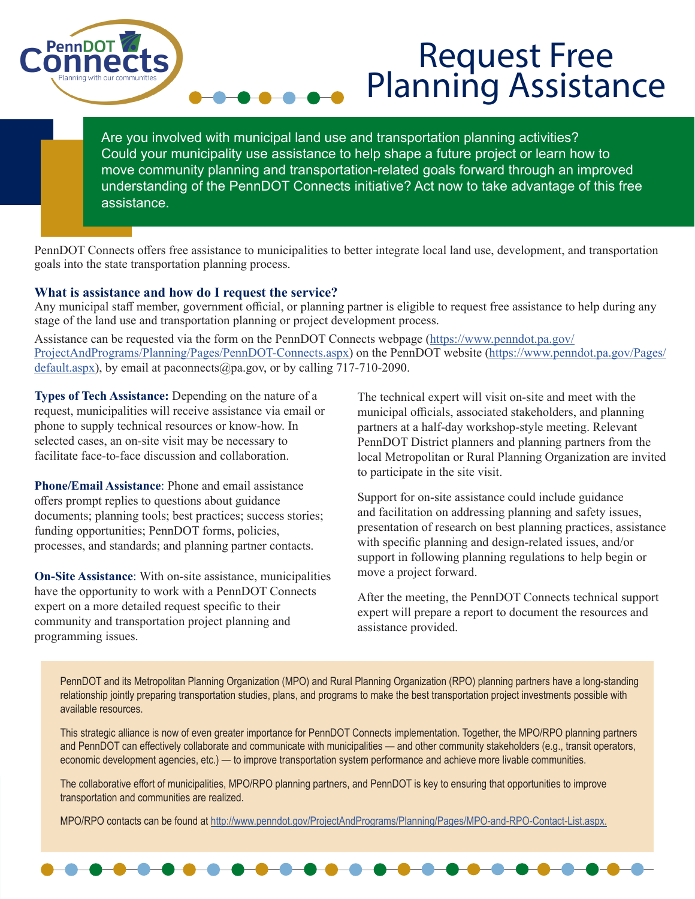

# Request Free<br>Planning Assistance

Are you involved with municipal land use and transportation planning activities? Could your municipality use assistance to help shape a future project or learn how to move community planning and transportation-related goals forward through an improved understanding of the PennDOT Connects initiative? Act now to take advantage of this free assistance.

PennDOT Connects offers free assistance to municipalities to better integrate local land use, development, and transportation goals into the state transportation planning process.

# **What is assistance and how do I request the service?**

Any municipal staff member, government official, or planning partner is eligible to request free assistance to help during any stage of the land use and transportation planning or project development process.

Assistance can be requested via the form on the PennDOT Connects webpage ([https://www.penndot.pa.gov/](https://www.penndot.pa.gov/ProjectAndPrograms/Planning/Pages/PennDOT-Connects.aspx) [ProjectAndPrograms/Planning/Pages/PennDOT-Connects.aspx\)](https://www.penndot.pa.gov/ProjectAndPrograms/Planning/Pages/PennDOT-Connects.aspx) on the PennDOT website [\(https://www.penndot.pa.gov/Pages/](https://www.penndot.pa.gov/Pages/default.aspx) [default.aspx\)](https://www.penndot.pa.gov/Pages/default.aspx), by email at paconnects@pa.gov, or by calling 717-710-2090.

**Types of Tech Assistance:** Depending on the nature of a request, municipalities will receive assistance via email or phone to supply technical resources or know-how. In selected cases, an on-site visit may be necessary to facilitate face-to-face discussion and collaboration.

**Phone/Email Assistance**: Phone and email assistance offers prompt replies to questions about guidance documents; planning tools; best practices; success stories; funding opportunities; PennDOT forms, policies, processes, and standards; and planning partner contacts.

**On-Site Assistance**: With on-site assistance, municipalities have the opportunity to work with a PennDOT Connects expert on a more detailed request specific to their community and transportation project planning and programming issues.

The technical expert will visit on-site and meet with the municipal officials, associated stakeholders, and planning partners at a half-day workshop-style meeting. Relevant PennDOT District planners and planning partners from the local Metropolitan or Rural Planning Organization are invited to participate in the site visit.

Support for on-site assistance could include guidance and facilitation on addressing planning and safety issues, presentation of research on best planning practices, assistance with specific planning and design-related issues, and/or support in following planning regulations to help begin or move a project forward.

After the meeting, the PennDOT Connects technical support expert will prepare a report to document the resources and assistance provided.

PennDOT and its Metropolitan Planning Organization (MPO) and Rural Planning Organization (RPO) planning partners have a long-standing relationship jointly preparing transportation studies, plans, and programs to make the best transportation project investments possible with available resources.

This strategic alliance is now of even greater importance for PennDOT Connects implementation. Together, the MPO/RPO planning partners and PennDOT can effectively collaborate and communicate with municipalities — and other community stakeholders (e.g., transit operators, economic development agencies, etc.) — to improve transportation system performance and achieve more livable communities.

The collaborative effort of municipalities, MPO/RPO planning partners, and PennDOT is key to ensuring that opportunities to improve transportation and communities are realized.

MPO/RPO contacts can be found at http:/[/www.penndot.gov/ProjectAndPrograms/Planning/Pages/MPO-and-RPO-Contact-List.aspx.](http://www.penndot.gov/ProjectAndPrograms/Planning/Pages/MPO-and-RPO-Contact-List.aspx)